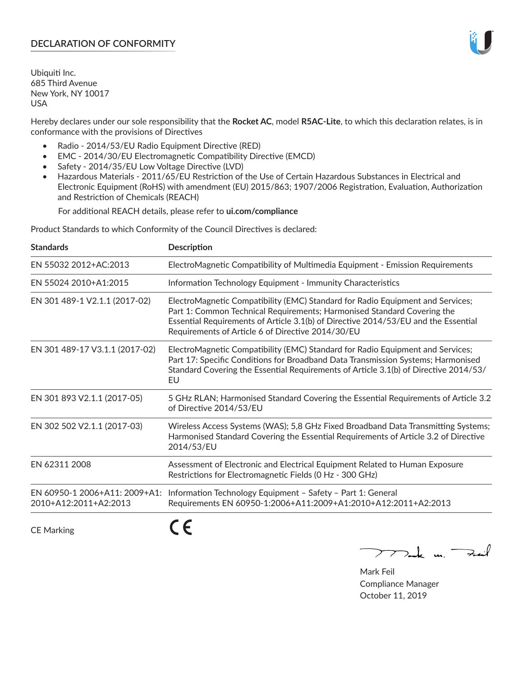# **DECLARATION OF CONFORMITY**

Ubiquiti Inc. 685 Third Avenue New York, NY 10017 USA

Hereby declares under our sole responsibility that the **Rocket AC**, model **R5AC-Lite**, to which this declaration relates, is in conformance with the provisions of Directives

- Radio 2014/53/EU Radio Equipment Directive (RED)
- EMC 2014/30/EU Electromagnetic Compatibility Directive (EMCD)
- Safety 2014/35/EU Low Voltage Directive (LVD)
- Hazardous Materials 2011/65/EU Restriction of the Use of Certain Hazardous Substances in Electrical and Electronic Equipment (RoHS) with amendment (EU) 2015/863; 1907/2006 Registration, Evaluation, Authorization and Restriction of Chemicals (REACH)

For additional REACH details, please refer to **ui.com/compliance**

Product Standards to which Conformity of the Council Directives is declared:

| <b>Standards</b>                                       | <b>Description</b>                                                                                                                                                                                                                                                                                   |
|--------------------------------------------------------|------------------------------------------------------------------------------------------------------------------------------------------------------------------------------------------------------------------------------------------------------------------------------------------------------|
| EN 55032 2012+AC:2013                                  | ElectroMagnetic Compatibility of Multimedia Equipment - Emission Requirements                                                                                                                                                                                                                        |
| EN 55024 2010+A1:2015                                  | Information Technology Equipment - Immunity Characteristics                                                                                                                                                                                                                                          |
| EN 301 489-1 V2.1.1 (2017-02)                          | ElectroMagnetic Compatibility (EMC) Standard for Radio Equipment and Services;<br>Part 1: Common Technical Requirements; Harmonised Standard Covering the<br>Essential Requirements of Article 3.1(b) of Directive 2014/53/EU and the Essential<br>Requirements of Article 6 of Directive 2014/30/EU |
| EN 301 489-17 V3.1.1 (2017-02)                         | ElectroMagnetic Compatibility (EMC) Standard for Radio Equipment and Services;<br>Part 17: Specific Conditions for Broadband Data Transmission Systems; Harmonised<br>Standard Covering the Essential Requirements of Article 3.1(b) of Directive 2014/53/<br>EU                                     |
| EN 301 893 V2.1.1 (2017-05)                            | 5 GHz RLAN; Harmonised Standard Covering the Essential Requirements of Article 3.2<br>of Directive 2014/53/EU                                                                                                                                                                                        |
| EN 302 502 V2.1.1 (2017-03)                            | Wireless Access Systems (WAS); 5,8 GHz Fixed Broadband Data Transmitting Systems;<br>Harmonised Standard Covering the Essential Requirements of Article 3.2 of Directive<br>2014/53/EU                                                                                                               |
| EN 62311 2008                                          | Assessment of Electronic and Electrical Equipment Related to Human Exposure<br>Restrictions for Electromagnetic Fields (0 Hz - 300 GHz)                                                                                                                                                              |
| EN 60950-1 2006+A11: 2009+A1:<br>2010+A12:2011+A2:2013 | Information Technology Equipment - Safety - Part 1: General<br>Requirements EN 60950-1:2006+A11:2009+A1:2010+A12:2011+A2:2013                                                                                                                                                                        |
|                                                        |                                                                                                                                                                                                                                                                                                      |

CE Marking

C C

mak m. Fuil

Mark Feil Compliance Manager October 11, 2019

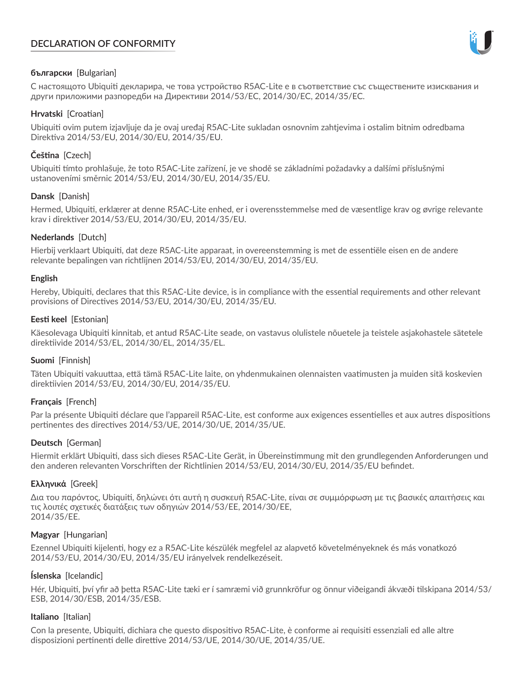# **DECLARATION OF CONFORMITY**



# **български** [Bulgarian]

С настоящото Ubiquiti декларира, че това устройство R5AC-Lite е в съответствие със съществените изисквания и други приложими разпоредби на Директиви 2014/53/EC, 2014/30/ЕС, 2014/35/ЕС.

## **Hrvatski** [Croatian]

Ubiquiti ovim putem izjavljuje da je ovaj uređaj R5AC-Lite sukladan osnovnim zahtjevima i ostalim bitnim odredbama Direktiva 2014/53/EU, 2014/30/EU, 2014/35/EU.

# **Čeština** [Czech]

Ubiquiti tímto prohlašuje, že toto R5AC-Lite zařízení, je ve shodě se základními požadavky a dalšími příslušnými ustanoveními směrnic 2014/53/EU, 2014/30/EU, 2014/35/EU.

# **Dansk** [Danish]

Hermed, Ubiquiti, erklærer at denne R5AC-Lite enhed, er i overensstemmelse med de væsentlige krav og øvrige relevante krav i direktiver 2014/53/EU, 2014/30/EU, 2014/35/EU.

# **Nederlands** [Dutch]

Hierbij verklaart Ubiquiti, dat deze R5AC-Lite apparaat, in overeenstemming is met de essentiële eisen en de andere relevante bepalingen van richtlijnen 2014/53/EU, 2014/30/EU, 2014/35/EU.

## **English**

Hereby, Ubiquiti, declares that this R5AC-Lite device, is in compliance with the essential requirements and other relevant provisions of Directives 2014/53/EU, 2014/30/EU, 2014/35/EU.

## **Eesti keel** [Estonian]

Käesolevaga Ubiquiti kinnitab, et antud R5AC-Lite seade, on vastavus olulistele nõuetele ja teistele asjakohastele sätetele direktiivide 2014/53/EL, 2014/30/EL, 2014/35/EL.

## **Suomi** [Finnish]

Täten Ubiquiti vakuuttaa, että tämä R5AC-Lite laite, on yhdenmukainen olennaisten vaatimusten ja muiden sitä koskevien direktiivien 2014/53/EU, 2014/30/EU, 2014/35/EU.

## **Français** [French]

Par la présente Ubiquiti déclare que l'appareil R5AC-Lite, est conforme aux exigences essentielles et aux autres dispositions pertinentes des directives 2014/53/UE, 2014/30/UE, 2014/35/UE.

## **Deutsch** [German]

Hiermit erklärt Ubiquiti, dass sich dieses R5AC-Lite Gerät, in Übereinstimmung mit den grundlegenden Anforderungen und den anderen relevanten Vorschriften der Richtlinien 2014/53/EU, 2014/30/EU, 2014/35/EU befindet.

## **Ελληνικά** [Greek]

Δια του παρόντος, Ubiquiti, δηλώνει ότι αυτή η συσκευή R5AC-Lite, είναι σε συμμόρφωση με τις βασικές απαιτήσεις και τις λοιπές σχετικές διατάξεις των οδηγιών 2014/53/EE, 2014/30/EE, 2014/35/EE.

## **Magyar** [Hungarian]

Ezennel Ubiquiti kijelenti, hogy ez a R5AC-Lite készülék megfelel az alapvető követelményeknek és más vonatkozó 2014/53/EU, 2014/30/EU, 2014/35/EU irányelvek rendelkezéseit.

## **Íslenska** [Icelandic]

Hér, Ubiquiti, því yfir að þetta R5AC-Lite tæki er í samræmi við grunnkröfur og önnur viðeigandi ákvæði tilskipana 2014/53/ ESB, 2014/30/ESB, 2014/35/ESB.

## **Italiano** [Italian]

Con la presente, Ubiquiti, dichiara che questo dispositivo R5AC-Lite, è conforme ai requisiti essenziali ed alle altre disposizioni pertinenti delle direttive 2014/53/UE, 2014/30/UE, 2014/35/UE.